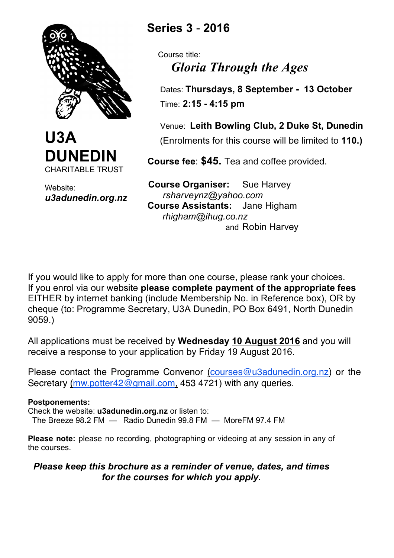



Website: *u3adunedin.org.nz*

# **Series 3** - **2016**

 Course title: *Gloria Through the Ages*

 Dates: **Thursdays, 8 September - 13 October** Time: **2:15 - 4:15 pm**

 Venue: **Leith Bowling Club, 2 Duke St, Dunedin** (Enrolments for this course will be limited to **110.)**

 **Course fee**: **\$45.** Tea and coffee provided.

 **Course Organiser:** Sue Harvey *rsharveynz@yahoo.com*  **Course Assistants:** Jane Higham *rhigham@ihug.co.nz* and Robin Harvey

If you would like to apply for more than one course, please rank your choices. If you enrol via our website **please complete payment of the appropriate fees** EITHER by internet banking (include Membership No. in Reference box), OR by cheque (to: Programme Secretary, U3A Dunedin, PO Box 6491, North Dunedin 9059.)

All applications must be received by **Wednesday 10 August 2016** and you will receive a response to your application by Friday 19 August 2016.

Please contact the Programme Convenor (courses@u3adunedin.org.nz) or the Secretary (mw.potter42@gmail.com, 453 4721) with any queries.

#### **Postponements:**

Check the website: **u3adunedin.org.nz** or listen to: The Breeze 98.2 FM — Radio Dunedin 99.8 FM — MoreFM 97.4 FM

**Please note:** please no recording, photographing or videoing at any session in any of the courses.

### *Please keep this brochure as a reminder of venue, dates, and times for the courses for which you apply.*